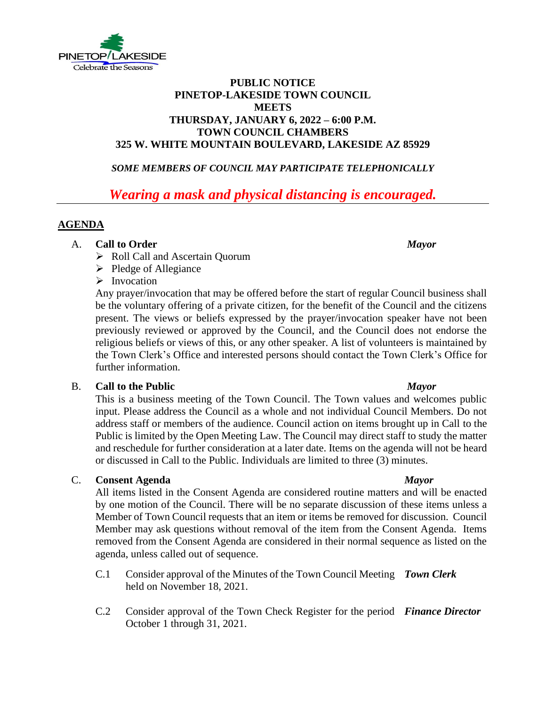

# **PUBLIC NOTICE PINETOP-LAKESIDE TOWN COUNCIL MEETS THURSDAY, JANUARY 6, 2022 – 6:00 P.M. TOWN COUNCIL CHAMBERS 325 W. WHITE MOUNTAIN BOULEVARD, LAKESIDE AZ 85929**

# *SOME MEMBERS OF COUNCIL MAY PARTICIPATE TELEPHONICALLY*

# *Wearing a mask and physical distancing is encouraged.*

# **AGENDA**

### A. **Call to Order** *Mayor*

- ➢ Roll Call and Ascertain Quorum
- ➢ Pledge of Allegiance

# ➢ Invocation

Any prayer/invocation that may be offered before the start of regular Council business shall be the voluntary offering of a private citizen, for the benefit of the Council and the citizens present. The views or beliefs expressed by the prayer/invocation speaker have not been previously reviewed or approved by the Council, and the Council does not endorse the religious beliefs or views of this, or any other speaker. A list of volunteers is maintained by the Town Clerk's Office and interested persons should contact the Town Clerk's Office for further information.

### B. **Call to the Public** *Mayor*

This is a business meeting of the Town Council. The Town values and welcomes public input. Please address the Council as a whole and not individual Council Members. Do not address staff or members of the audience. Council action on items brought up in Call to the Public is limited by the Open Meeting Law. The Council may direct staff to study the matter and reschedule for further consideration at a later date. Items on the agenda will not be heard or discussed in Call to the Public. Individuals are limited to three (3) minutes.

### C. **Consent Agenda** *Mayor*

All items listed in the Consent Agenda are considered routine matters and will be enacted by one motion of the Council. There will be no separate discussion of these items unless a Member of Town Council requests that an item or items be removed for discussion. Council Member may ask questions without removal of the item from the Consent Agenda. Items removed from the Consent Agenda are considered in their normal sequence as listed on the agenda, unless called out of sequence.

- $C.1$ Consider approval of the Minutes of the Town Council Meeting *Town Clerk* held on November 18, 2021.
- C.2 Consider approval of the Town Check Register for the period *Finance Director*October 1 through 31, 2021.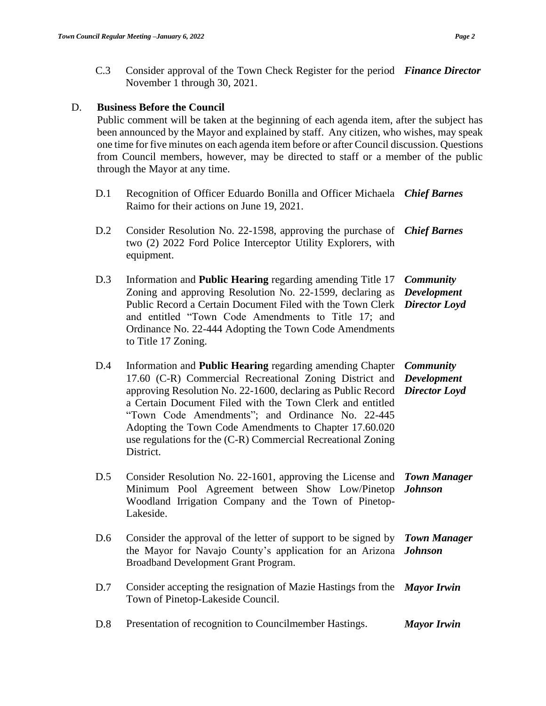C.3 Consider approval of the Town Check Register for the period *Finance Director* November 1 through 30, 2021.

### D. **Business Before the Council**

Public comment will be taken at the beginning of each agenda item, after the subject has been announced by the Mayor and explained by staff. Any citizen, who wishes, may speak one time for five minutes on each agenda item before or after Council discussion. Questions from Council members, however, may be directed to staff or a member of the public through the Mayor at any time.

- D.1 Recognition of Officer Eduardo Bonilla and Officer Michaela *Chief Barnes* Raimo for their actions on June 19, 2021.
- D.2 Consider Resolution No. 22-1598, approving the purchase of *Chief Barnes* two (2) 2022 Ford Police Interceptor Utility Explorers, with equipment.
- D.3 Information and **Public Hearing** regarding amending Title 17 *Community*  Zoning and approving Resolution No. 22-1599, declaring as *Development*  Public Record a Certain Document Filed with the Town Clerk *Director Loyd* and entitled "Town Code Amendments to Title 17; and Ordinance No. 22-444 Adopting the Town Code Amendments to Title 17 Zoning.
- D.4 Information and **Public Hearing** regarding amending Chapter *Community*  17.60 (C-R) Commercial Recreational Zoning District and *Development*  approving Resolution No. 22-1600, declaring as Public Record *Director Loyd* a Certain Document Filed with the Town Clerk and entitled "Town Code Amendments"; and Ordinance No. 22-445 Adopting the Town Code Amendments to Chapter 17.60.020 use regulations for the (C-R) Commercial Recreational Zoning District.
- D.5 Consider Resolution No. 22-1601, approving the License and *Town Manager*  Minimum Pool Agreement between Show Low/Pinetop *Johnson* Woodland Irrigation Company and the Town of Pinetop-Lakeside.
- D.6 Consider the approval of the letter of support to be signed by *Town Manager*  the Mayor for Navajo County's application for an Arizona *Johnson* Broadband Development Grant Program.
- D.7 Consider accepting the resignation of Mazie Hastings from the *Mayor Irwin* Town of Pinetop-Lakeside Council.

D.8 Presentation of recognition to Councilmember Hastings. *Mayor Irwin*